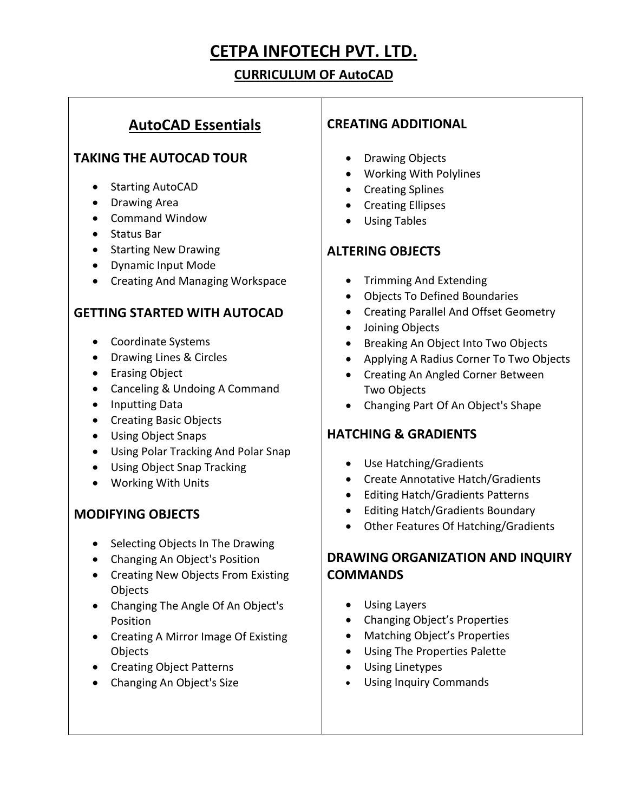# **CETPA INFOTECH PVT. LTD.**

# **CURRICULUM OF AutoCAD**

# **AutoCAD Essentials**

## **TAKING THE AUTOCAD TOUR**

- Starting AutoCAD
- Drawing Area
- Command Window
- Status Bar
- Starting New Drawing
- Dynamic Input Mode
- Creating And Managing Workspace

#### **GETTING STARTED WITH AUTOCAD**

- Coordinate Systems
- Drawing Lines & Circles
- Erasing Object
- Canceling & Undoing A Command
- Inputting Data
- Creating Basic Objects
- Using Object Snaps
- Using Polar Tracking And Polar Snap
- Using Object Snap Tracking
- Working With Units

## **MODIFYING OBJECTS**

- Selecting Objects In The Drawing
- Changing An Object's Position
- Creating New Objects From Existing **Objects**
- Changing The Angle Of An Object's Position
- Creating A Mirror Image Of Existing **Objects**
- Creating Object Patterns
- Changing An Object's Size

#### **CREATING ADDITIONAL**

- Drawing Objects
- Working With Polylines
- Creating Splines
- Creating Ellipses
- Using Tables

#### **ALTERING OBJECTS**

- Trimming And Extending
- Objects To Defined Boundaries
- Creating Parallel And Offset Geometry
- Joining Objects
- Breaking An Object Into Two Objects
- Applying A Radius Corner To Two Objects
- Creating An Angled Corner Between Two Objects
- Changing Part Of An Object's Shape

## **HATCHING & GRADIENTS**

- Use Hatching/Gradients
- Create Annotative Hatch/Gradients
- Editing Hatch/Gradients Patterns
- Editing Hatch/Gradients Boundary
- Other Features Of Hatching/Gradients

# **DRAWING ORGANIZATION AND INQUIRY COMMANDS**

- Using Layers
- Changing Object's Properties
- Matching Object's Properties
- Using The Properties Palette
- Using Linetypes
- Using Inquiry Commands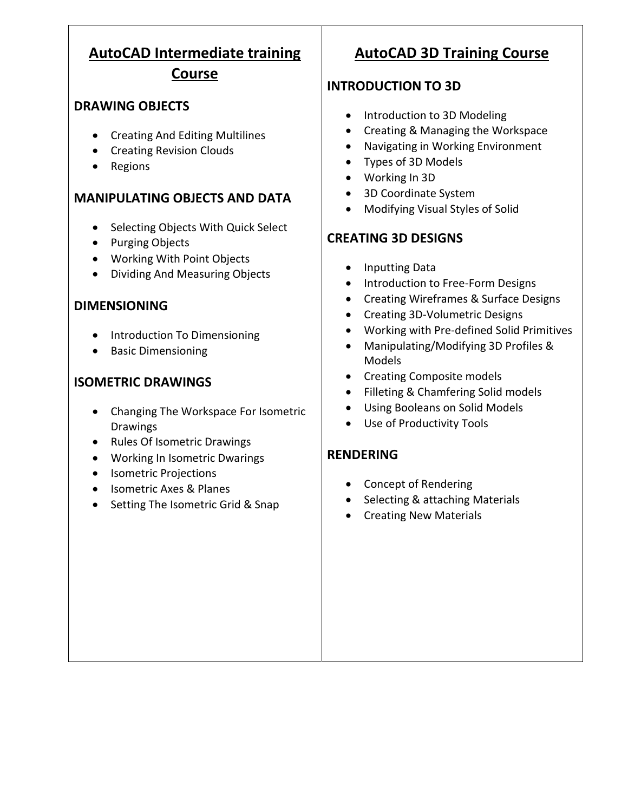# **AutoCAD Intermediate training Course**

## **DRAWING OBJECTS**

- Creating And Editing Multilines
- Creating Revision Clouds
- Regions

## **MANIPULATING OBJECTS AND DATA**

- Selecting Objects With Quick Select
- Purging Objects
- Working With Point Objects
- Dividing And Measuring Objects

#### **DIMENSIONING**

- Introduction To Dimensioning
- Basic Dimensioning

# **ISOMETRIC DRAWINGS**

- Changing The Workspace For Isometric Drawings
- Rules Of Isometric Drawings
- Working In Isometric Dwarings
- Isometric Projections
- Isometric Axes & Planes
- Setting The Isometric Grid & Snap

# **AutoCAD 3D Training Course**

# **INTRODUCTION TO 3D**

- Introduction to 3D Modeling
- Creating & Managing the Workspace
- Navigating in Working Environment
- Types of 3D Models
- Working In 3D
- 3D Coordinate System
- Modifying Visual Styles of Solid

# **CREATING 3D DESIGNS**

- Inputting Data
- Introduction to Free-Form Designs
- Creating Wireframes & Surface Designs
- Creating 3D-Volumetric Designs
- Working with Pre-defined Solid Primitives
- Manipulating/Modifying 3D Profiles & Models
- Creating Composite models
- Filleting & Chamfering Solid models
- Using Booleans on Solid Models
- Use of Productivity Tools

# **RENDERING**

- Concept of Rendering
- Selecting & attaching Materials
- Creating New Materials